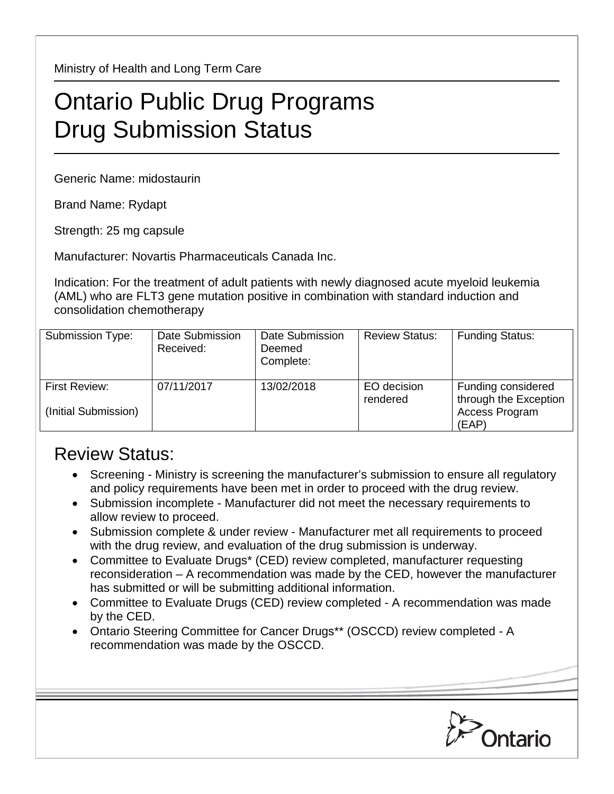Ministry of Health and Long Term Care

## Ontario Public Drug Programs Drug Submission Status

Generic Name: midostaurin

Brand Name: Rydapt

Strength: 25 mg capsule

Manufacturer: Novartis Pharmaceuticals Canada Inc.

Indication: For the treatment of adult patients with newly diagnosed acute myeloid leukemia (AML) who are FLT3 gene mutation positive in combination with standard induction and consolidation chemotherapy

| Submission Type:                      | Date Submission<br>Received: | Date Submission<br>Deemed<br>Complete: | <b>Review Status:</b>   | <b>Funding Status:</b>                                                 |
|---------------------------------------|------------------------------|----------------------------------------|-------------------------|------------------------------------------------------------------------|
| First Review:<br>(Initial Submission) | 07/11/2017                   | 13/02/2018                             | EO decision<br>rendered | Funding considered<br>through the Exception<br>Access Program<br>(EAP) |

## Review Status:

- Screening Ministry is screening the manufacturer's submission to ensure all regulatory and policy requirements have been met in order to proceed with the drug review.
- Submission incomplete Manufacturer did not meet the necessary requirements to allow review to proceed.
- Submission complete & under review Manufacturer met all requirements to proceed with the drug review, and evaluation of the drug submission is underway.
- Committee to Evaluate Drugs\* (CED) review completed, manufacturer requesting reconsideration – A recommendation was made by the CED, however the manufacturer has submitted or will be submitting additional information.
- Committee to Evaluate Drugs (CED) review completed A recommendation was made by the CED.
- Ontario Steering Committee for Cancer Drugs\*\* (OSCCD) review completed A recommendation was made by the OSCCD.